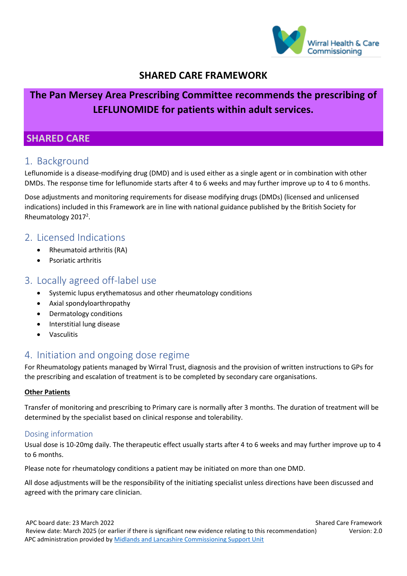

## **SHARED CARE FRAMEWORK**

# **The Pan Mersey Area Prescribing Committee recommends the prescribing of LEFLUNOMIDE for patients within adult services.**

### **SHARED CARE**

## 1. Background

Leflunomide is a disease-modifying drug (DMD) and is used either as a single agent or in combination with other DMDs. The response time for leflunomide starts after 4 to 6 weeks and may further improve up to 4 to 6 months.

Dose adjustments and monitoring requirements for disease modifying drugs (DMDs) (licensed and unlicensed indications) included in this Framework are in line with national guidance published by the British Society for Rheumatology 2017<sup>2</sup>.

## 2. Licensed Indications

- Rheumatoid arthritis (RA)
- Psoriatic arthritis

#### 3. Locally agreed off-label use

- Systemic lupus erythematosus and other rheumatology conditions
- Axial spondyloarthropathy
- Dermatology conditions
- Interstitial lung disease
- Vasculitis

## 4. Initiation and ongoing dose regime

For Rheumatology patients managed by Wirral Trust, diagnosis and the provision of written instructions to GPs for the prescribing and escalation of treatment is to be completed by secondary care organisations.

#### **Other Patients**

Transfer of monitoring and prescribing to Primary care is normally after 3 months. The duration of treatment will be determined by the specialist based on clinical response and tolerability.

#### Dosing information

Usual dose is 10-20mg daily. The therapeutic effect usually starts after 4 to 6 weeks and may further improve up to 4 to 6 months.

Please note for rheumatology conditions a patient may be initiated on more than one DMD.

All dose adjustments will be the responsibility of the initiating specialist unless directions have been discussed and agreed with the primary care clinician.

APC board date: 23 March 2022 Shared Care Framework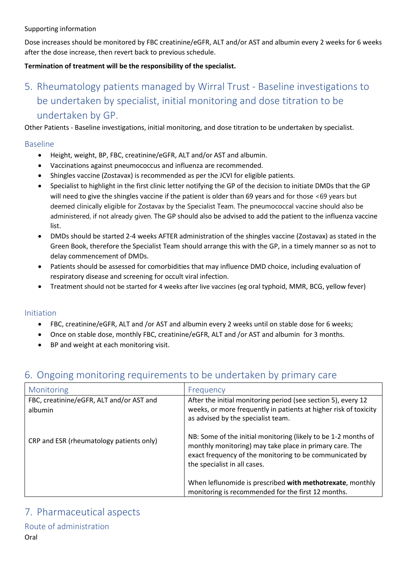Dose increases should be monitored by FBC creatinine/eGFR, ALT and/or AST and albumin every 2 weeks for 6 weeks after the dose increase, then revert back to previous schedule.

#### **Termination of treatment will be the responsibility of the specialist.**

# 5. Rheumatology patients managed by Wirral Trust - Baseline investigations to be undertaken by specialist, initial monitoring and dose titration to be undertaken by GP.

Other Patients - Baseline investigations, initial monitoring, and dose titration to be undertaken by specialist.

#### Baseline

- Height, weight, BP, FBC, creatinine/eGFR, ALT and/or AST and albumin.
- Vaccinations against pneumococcus and influenza are recommended.
- Shingles vaccine (Zostavax) is recommended as per the JCVI for eligible patients.
- Specialist to highlight in the first clinic letter notifying the GP of the decision to initiate DMDs that the GP will need to give the shingles vaccine if the patient is older than 69 years and for those <69 years but deemed clinically eligible for Zostavax by the Specialist Team. The pneumococcal vaccine should also be administered, if not already given. The GP should also be advised to add the patient to the influenza vaccine list.
- DMDs should be started 2-4 weeks AFTER administration of the shingles vaccine (Zostavax) as stated in the Green Book, therefore the Specialist Team should arrange this with the GP, in a timely manner so as not to delay commencement of DMDs.
- Patients should be assessed for comorbidities that may influence DMD choice, including evaluation of respiratory disease and screening for occult viral infection.
- Treatment should not be started for 4 weeks after live vaccines (eg oral typhoid, MMR, BCG, yellow fever)

#### Initiation

- FBC, creatinine/eGFR, ALT and /or AST and albumin every 2 weeks until on stable dose for 6 weeks;
- Once on stable dose, monthly FBC, creatinine/eGFR, ALT and /or AST and albumin for 3 months.
- BP and weight at each monitoring visit.

#### Monitoring **Figure 1.1 The Monitoring Figure 1.1 The Executive Line Control** FBC, creatinine/eGFR, ALT and/or AST and albumin CRP and ESR (rheumatology patients only) After the initial monitoring period (see section 5), every 12 weeks, or more frequently in patients at higher risk of toxicity as advised by the specialist team. NB: Some of the initial monitoring (likely to be 1-2 months of monthly monitoring) may take place in primary care. The exact frequency of the monitoring to be communicated by the specialist in all cases. When leflunomide is prescribed **with methotrexate**, monthly monitoring is recommended for the first 12 months.

## 6. Ongoing monitoring requirements to be undertaken by primary care

#### 7. Pharmaceutical aspects

#### Route of administration Oral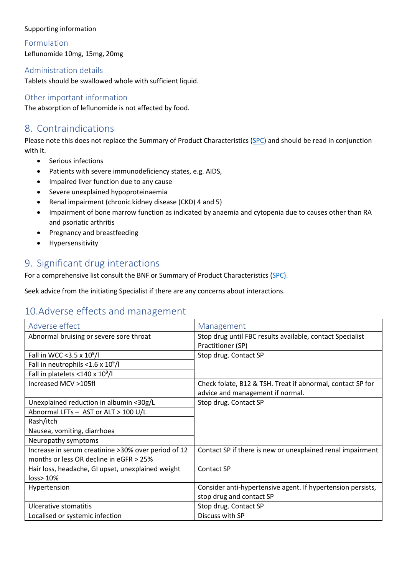Formulation Leflunomide 10mg, 15mg, 20mg

#### Administration details

Tablets should be swallowed whole with sufficient liquid.

#### Other important information

The absorption of leflunomide is not affected by food.

## 8. Contraindications

Please note this does not replace the Summary of Product Characteristics [\(SPC\)](https://www.medicines.org.uk/emc/search?q=leflunomide) and should be read in conjunction with it.

- Serious infections
- Patients with severe immunodeficiency states, e.g. AIDS,
- Impaired liver function due to any cause
- Severe unexplained hypoproteinaemia
- Renal impairment (chronic kidney disease (CKD) 4 and 5)
- Impairment of bone marrow function as indicated by anaemia and cytopenia due to causes other than RA and psoriatic arthritis
- Pregnancy and breastfeeding
- Hypersensitivity

## 9. Significant drug interactions

For a comprehensive list consult the BNF or Summary of Product Characteristics [\(SPC\)](http://www.medicines.org.uk/emc/).

Seek advice from the initiating Specialist if there are any concerns about interactions.

# 10.Adverse effects and management

| Adverse effect                                                                                  | Management                                                                                     |
|-------------------------------------------------------------------------------------------------|------------------------------------------------------------------------------------------------|
| Abnormal bruising or severe sore throat                                                         | Stop drug until FBC results available, contact Specialist<br>Practitioner (SP)                 |
| Fall in WCC < 3.5 x $10^9$ /l                                                                   | Stop drug. Contact SP                                                                          |
| Fall in neutrophils < $1.6 \times 10^9$ /l                                                      |                                                                                                |
| Fall in platelets <140 x $10^9$ /l                                                              |                                                                                                |
| Increased MCV >105fl                                                                            | Check folate, B12 & TSH. Treat if abnormal, contact SP for<br>advice and management if normal. |
| Unexplained reduction in albumin <30g/L                                                         | Stop drug. Contact SP                                                                          |
| Abnormal LFTs - AST or ALT > 100 U/L                                                            |                                                                                                |
| Rash/itch                                                                                       |                                                                                                |
| Nausea, vomiting, diarrhoea                                                                     |                                                                                                |
| Neuropathy symptoms                                                                             |                                                                                                |
| Increase in serum creatinine > 30% over period of 12<br>months or less OR decline in eGFR > 25% | Contact SP if there is new or unexplained renal impairment                                     |
| Hair loss, headache, GI upset, unexplained weight<br>loss > 10%                                 | <b>Contact SP</b>                                                                              |
| Hypertension                                                                                    | Consider anti-hypertensive agent. If hypertension persists,                                    |
|                                                                                                 | stop drug and contact SP                                                                       |
| Ulcerative stomatitis                                                                           | Stop drug. Contact SP                                                                          |
| Localised or systemic infection                                                                 | Discuss with SP                                                                                |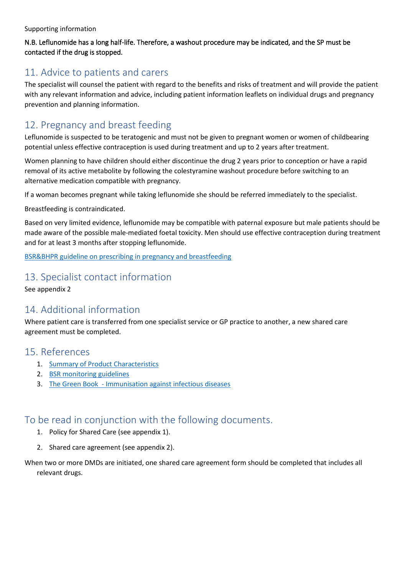#### N.B. Leflunomide has a long half-life. Therefore, a washout procedure may be indicated, and the SP must be contacted if the drug is stopped.

## 11. Advice to patients and carers

The specialist will counsel the patient with regard to the benefits and risks of treatment and will provide the patient with any relevant information and advice, including patient information leaflets on individual drugs and pregnancy prevention and planning information.

# 12. Pregnancy and breast feeding

Leflunomide is suspected to be teratogenic and must not be given to pregnant women or women of childbearing potential unless effective contraception is used during treatment and up to 2 years after treatment.

Women planning to have children should either discontinue the drug 2 years prior to conception or have a rapid removal of its active metabolite by following the colestyramine washout procedure before switching to an alternative medication compatible with pregnancy.

If a woman becomes pregnant while taking leflunomide she should be referred immediately to the specialist.

Breastfeeding is contraindicated.

Based on very limited evidence, leflunomide may be compatible with paternal exposure but male patients should be made aware of the possible male-mediated foetal toxicity. Men should use effective contraception during treatment and for at least 3 months after stopping leflunomide.

[BSR&BHPR guideline on prescribing in pregnancy and breastfeeding](https://academic.oup.com/rheumatology/article/55/9/1693/1744535)

## 13. Specialist contact information

See appendix 2

## 14. Additional information

Where patient care is transferred from one specialist service or GP practice to another, a new shared care agreement must be completed.

#### 15. References

- 1. [Summary of Product Characteristics](https://www.medicines.org.uk/emc/search?q=leflunomide)
- 2. [BSR monitoring guidelines](https://www.rheumatology.org.uk/practice-quality/guidelines)
- 3. [The Green Book Immunisation against infectious diseases](https://www.gov.uk/government/collections/immunisation-against-infectious-disease-the-green-book#the-green-book)

## To be read in conjunction with the following documents.

- 1. Policy for Shared Care (see appendix 1).
- 2. Shared care agreement (see appendix 2).

When two or more DMDs are initiated, one shared care agreement form should be completed that includes all relevant drugs.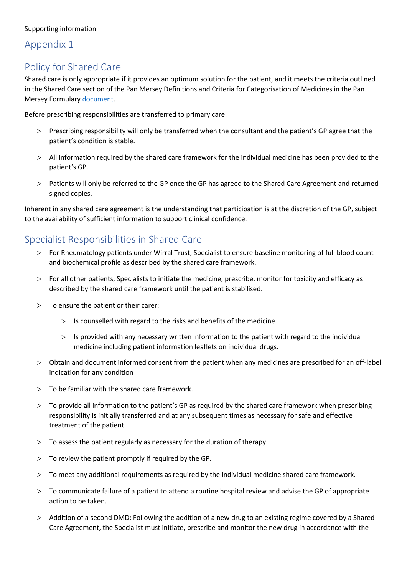## Appendix 1

# Policy for Shared Care

Shared care is only appropriate if it provides an optimum solution for the patient, and it meets the criteria outlined in the Shared Care section of the Pan Mersey Definitions and Criteria for Categorisation of Medicines in the Pan Mersey Formulary [document.](https://www.panmerseyapc.nhs.uk/media/1393/rag_criteria.pdf)

Before prescribing responsibilities are transferred to primary care:

- > Prescribing responsibility will only be transferred when the consultant and the patient's GP agree that the patient's condition is stable.
- > All information required by the shared care framework for the individual medicine has been provided to the patient's GP.
- > Patients will only be referred to the GP once the GP has agreed to the Shared Care Agreement and returned signed copies.

Inherent in any shared care agreement is the understanding that participation is at the discretion of the GP, subject to the availability of sufficient information to support clinical confidence.

## Specialist Responsibilities in Shared Care

- > For Rheumatology patients under Wirral Trust, Specialist to ensure baseline monitoring of full blood count and biochemical profile as described by the shared care framework.
- > For all other patients, Specialists to initiate the medicine, prescribe, monitor for toxicity and efficacy as described by the shared care framework until the patient is stabilised.
- > To ensure the patient or their carer:
	- > Is counselled with regard to the risks and benefits of the medicine.
	- > Is provided with any necessary written information to the patient with regard to the individual medicine including patient information leaflets on individual drugs.
- > Obtain and document informed consent from the patient when any medicines are prescribed for an off-label indication for any condition
- $>$  To be familiar with the shared care framework.
- > To provide all information to the patient's GP as required by the shared care framework when prescribing responsibility is initially transferred and at any subsequent times as necessary for safe and effective treatment of the patient.
- $>$  To assess the patient regularly as necessary for the duration of therapy.
- $>$  To review the patient promptly if required by the GP.
- > To meet any additional requirements as required by the individual medicine shared care framework.
- > To communicate failure of a patient to attend a routine hospital review and advise the GP of appropriate action to be taken.
- > Addition of a second DMD: Following the addition of a new drug to an existing regime covered by a Shared Care Agreement, the Specialist must initiate, prescribe and monitor the new drug in accordance with the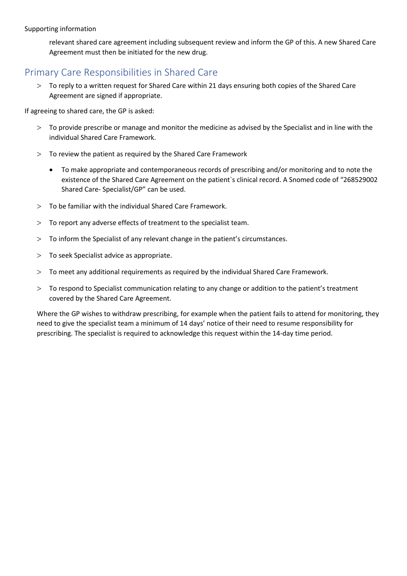relevant shared care agreement including subsequent review and inform the GP of this. A new Shared Care Agreement must then be initiated for the new drug.

### Primary Care Responsibilities in Shared Care

> To reply to a written request for Shared Care within 21 days ensuring both copies of the Shared Care Agreement are signed if appropriate.

If agreeing to shared care, the GP is asked:

- > To provide prescribe or manage and monitor the medicine as advised by the Specialist and in line with the individual Shared Care Framework.
- > To review the patient as required by the Shared Care Framework
	- To make appropriate and contemporaneous records of prescribing and/or monitoring and to note the existence of the Shared Care Agreement on the patient`s clinical record. A Snomed code of "268529002 Shared Care- Specialist/GP" can be used.
- > To be familiar with the individual Shared Care Framework.
- > To report any adverse effects of treatment to the specialist team.
- > To inform the Specialist of any relevant change in the patient's circumstances.
- > To seek Specialist advice as appropriate.
- > To meet any additional requirements as required by the individual Shared Care Framework.
- > To respond to Specialist communication relating to any change or addition to the patient's treatment covered by the Shared Care Agreement.

Where the GP wishes to withdraw prescribing, for example when the patient fails to attend for monitoring, they need to give the specialist team a minimum of 14 days' notice of their need to resume responsibility for prescribing. The specialist is required to acknowledge this request within the 14-day time period.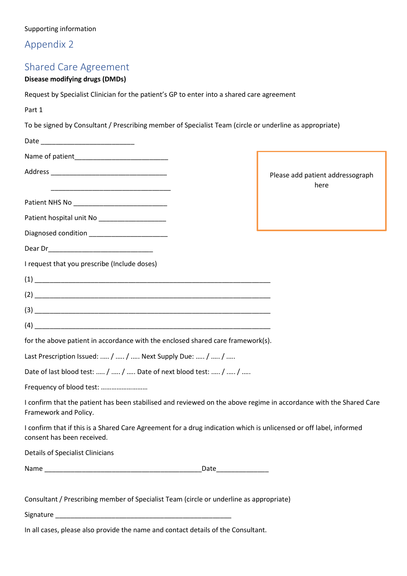# Appendix 2

# Shared Care Agreement

#### **Disease modifying drugs (DMDs)**

Request by Specialist Clinician for the patient's GP to enter into a shared care agreement

Part 1

To be signed by Consultant / Prescribing member of Specialist Team (circle or underline as appropriate)

|                                                                                                                                                                                                                                                                                                                                                              |                         | Please add patient addressograph<br>here |
|--------------------------------------------------------------------------------------------------------------------------------------------------------------------------------------------------------------------------------------------------------------------------------------------------------------------------------------------------------------|-------------------------|------------------------------------------|
|                                                                                                                                                                                                                                                                                                                                                              |                         |                                          |
|                                                                                                                                                                                                                                                                                                                                                              |                         |                                          |
| Diagnosed condition<br>Lines and the condition                                                                                                                                                                                                                                                                                                               |                         |                                          |
|                                                                                                                                                                                                                                                                                                                                                              |                         |                                          |
| I request that you prescribe (Include doses)                                                                                                                                                                                                                                                                                                                 |                         |                                          |
|                                                                                                                                                                                                                                                                                                                                                              |                         |                                          |
|                                                                                                                                                                                                                                                                                                                                                              |                         |                                          |
|                                                                                                                                                                                                                                                                                                                                                              |                         |                                          |
| $(4) \begin{tabular}{l} \hline \rule{0.2cm}{0.4cm} \rule{0.2cm}{0.4cm} \rule{0.2cm}{0.4cm} \rule{0.2cm}{0.4cm} \rule{0.2cm}{0.4cm} \rule{0.2cm}{0.4cm} \rule{0.2cm}{0.4cm} \rule{0.2cm}{0.4cm} \rule{0.2cm}{0.4cm} \rule{0.2cm}{0.4cm} \rule{0.2cm}{0.4cm} \rule{0.2cm}{0.4cm} \rule{0.2cm}{0.4cm} \rule{0.2cm}{0.4cm} \rule{0.2cm}{0.4cm} \rule{0.2cm}{0.4$ |                         |                                          |
| for the above patient in accordance with the enclosed shared care framework(s).                                                                                                                                                                                                                                                                              |                         |                                          |
| Last Prescription Issued:  /  /  Next Supply Due:  /  /                                                                                                                                                                                                                                                                                                      |                         |                                          |
| Date of last blood test:  /  /  Date of next blood test:  /  /                                                                                                                                                                                                                                                                                               |                         |                                          |
| Frequency of blood test:                                                                                                                                                                                                                                                                                                                                     |                         |                                          |
| I confirm that the patient has been stabilised and reviewed on the above regime in accordance with the Shared Care<br>Framework and Policy.                                                                                                                                                                                                                  |                         |                                          |
| I confirm that if this is a Shared Care Agreement for a drug indication which is unlicensed or off label, informed<br>consent has been received.                                                                                                                                                                                                             |                         |                                          |
| <b>Details of Specialist Clinicians</b>                                                                                                                                                                                                                                                                                                                      |                         |                                          |
|                                                                                                                                                                                                                                                                                                                                                              | _Date__________________ |                                          |
|                                                                                                                                                                                                                                                                                                                                                              |                         |                                          |
| Consultant / Prescribing member of Specialist Team (circle or underline as appropriate)                                                                                                                                                                                                                                                                      |                         |                                          |

Signature \_\_\_\_\_\_\_\_\_\_\_\_\_\_\_\_\_\_\_\_\_\_\_\_\_\_\_\_\_\_\_\_\_\_\_\_\_\_\_\_\_\_\_\_\_\_\_

In all cases, please also provide the name and contact details of the Consultant.